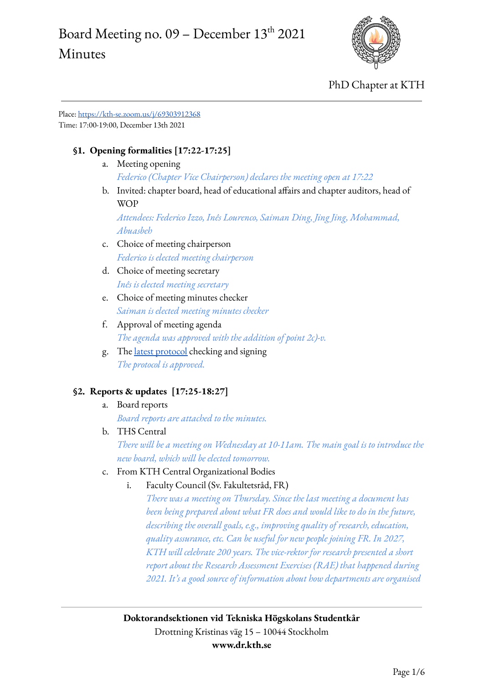# Board Meeting no.  $09$  – December  $13^{\text{th}}$  2021 Minutes



PhD Chapter at KTH

Place: <https://kth-se.zoom.us/j/69303912368> Time: 17:00-19:00, December 13th 2021

### **§1. Opening formalities [17:22-17:25]**

- a. Meeting opening *Federico (Chapter Vice Chairperson) declares the meeting open at 17:22*
- b. Invited: chapter board, head of educational affairs and chapter auditors, head of **WOP**

*Attendees: Federico Izzo, Inês Lourenco, Saiman Ding, Jing Jing, Mohammad, Abuasbeh*

- c. Choice of meeting chairperson *Federico is elected meeting chairperson*
- d. Choice of meeting secretary *Inês is elected meeting secretary*
- e. Choice of meeting minutes checker *Saiman is elected meeting minutes checker*
- f. Approval of meeting agenda *The agenda was approved with the addition of point 2c)-v.*
- g. The latest [protocol](https://www.dr.kth.se/wp-content/uploads/sites/6/2021/12/Board-Meeting-20211129-Minutes.pdf) checking and signing *The protocol is approved.*

### **§2. Reports & updates [17:25-18:27]**

- a. Board reports *Board reports are attached to the minutes.*
- b. THS Central

*There will be a meeting on Wednesday at 10-11am. The main goal is to introduce the new board, which will be elected tomorrow.*

- c. From KTH Central Organizational Bodies
	- i. Faculty Council (Sv. Fakultetsråd, FR)

*There was a meeting on Thursday. Since the last meeting a document has been being prepared about what FR does and would like to do in the future, describing the overall goals, e.g., improving quality of research, education, quality assurance, etc. Can be useful for new people joining FR. In 2027, KTH will celebrate 200 years. The vice-rektor for research presented a short report about the Research Assessment Exercises (RAE) that happened during 2021. It's a good source of information about how departments are organised*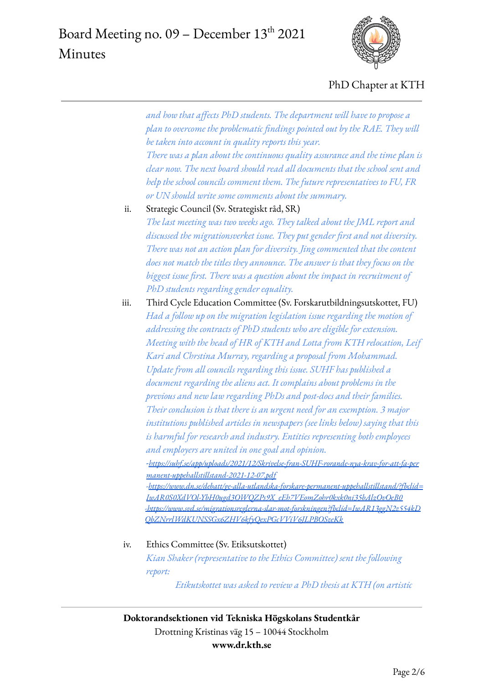

*and how that affects PhD students. The department will have to propose a plan to overcome the problematic findings pointed out by the RAE. They will be taken into account in quality reports this year.*

*There was a plan about the continuous quality assurance and the time plan is clear now. The next board should read all documents that the school sent and help the school councils comment them. The future representatives to FU, FR or UN should write some comments about the summary.*

- ii. Strategic Council (Sv. Strategiskt råd, SR) *The last meeting was two weeks ago. They talked about the JML report and discussed the migrationsverket issue. They put gender first and not diversity. There was not an action plan for diversity. Jing commented that the content does not match the titles they announce. The answer is that they focus on the biggest issue first. There was a question about the impact in recruitment of PhD students regarding gender equality.*
- iii. Third Cycle Education Committee (Sv. Forskarutbildningsutskottet, FU) *Had a follow up on the migration legislation issue regarding the motion of addressing the contracts of PhD students who are eligible for extension. Meeting with the head of HR of KTH and Lotta from KTH relocation, Leif Kari and Chrstina Murray, regarding a proposal from Mohammad. Update from all councils regarding this issue. SUHF has published a document regarding the aliens act. It complains about problems in the previous and new law regarding PhDs and post-docs and their families. Their conclusion is that there is an urgent need for an exemption. 3 major institutions published articles in newspapers (see links below) saying that this is harmful for research and industry. Entities representing both employees and employers are united in one goal and opinion. -[https://suhf.se/app/uploads/2021/12/Skrivelse-fran-SUHF-rorande-nya-krav-for-att-fa-per](https://suhf.se/app/uploads/2021/12/Skrivelse-fran-SUHF-rorande-nya-krav-for-att-fa-permanent-uppehallstillstand-2021-12-07.pdf) [manent-uppehallstillstand-2021-12-07.pdf](https://suhf.se/app/uploads/2021/12/Skrivelse-fran-SUHF-rorande-nya-krav-for-att-fa-permanent-uppehallstillstand-2021-12-07.pdf) -[https://www.dn.se/debatt/ge-alla-utlandska-forskare-permanent-uppehallstillstand/?fbclid=](https://www.dn.se/debatt/ge-alla-utlandska-forskare-permanent-uppehallstillstand/?fbclid=IwAR0S0XdVOl-YbH0ugd3OWQZPs9X_eEh7VEomZohr0kxk0ni35bAlzOvOeB0) [IwAR0S0XdVOl-YbH0ugd3OWQZPs9X\\_eEh7VEomZohr0kxk0ni35bAlzOvOeB0](https://www.dn.se/debatt/ge-alla-utlandska-forskare-permanent-uppehallstillstand/?fbclid=IwAR0S0XdVOl-YbH0ugd3OWQZPs9X_eEh7VEomZohr0kxk0ni35bAlzOvOeB0) [-https://www.svd.se/migrationsreglerna-slar-mot-forskningen?fbclid=IwAR13ggN2z554kD](https://www.svd.se/migrationsreglerna-slar-mot-forskningen?fbclid=IwAR13ggN2z554kDQbZNrrlWdKUNSSGx6ZHV6kfyQexPGcVViV6JLPBOSzeKk) [QbZNrrlWdKUNSSGx6ZHV6kfyQexPGcVViV6JLPBOSzeKk](https://www.svd.se/migrationsreglerna-slar-mot-forskningen?fbclid=IwAR13ggN2z554kDQbZNrrlWdKUNSSGx6ZHV6kfyQexPGcVViV6JLPBOSzeKk)*

#### iv. Ethics Committee (Sv. Etiksutskottet)

*Kian Shaker (representative to the Ethics Committee) sent the following report:*

*Etikutskottet was asked to review a PhD thesis at KTH (on artistic*

**Doktorandsektionen vid Tekniska Högskolans Studentkår** Drottning Kristinas väg 15 – 10044 Stockholm **www.dr.kth.se**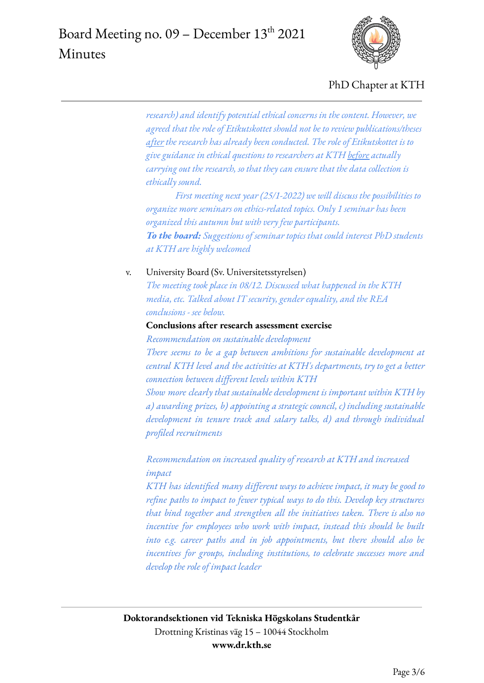

*research) and identify potential ethical concerns in the content. However, we agreed that the role of Etikutskottet should not be to review publications/theses after the research has already been conducted. The role of Etikutskottet is to give guidance in ethical questions to researchers at KTH before actually carrying out the research, so that they can ensure that the data collection is ethically sound.*

*First meeting next year (25/1-2022) we will discuss the possibilities to organize more seminars on ethics-related topics. Only 1 seminar has been organized this autumn but with very few participants. To the board: Suggestions of seminar topics that could interest PhD students at KTH are highly welcomed*

v. University Board (Sv. Universitetsstyrelsen)

*The meeting took place in 08/12. Discussed what happened in the KTH media, etc. Talked about IT security, gender equality, and the REA conclusions - see below.*

#### **Conclusions after research assessment exercise**

*Recommendation on sustainable development*

*There seems to be a gap between ambitions for sustainable development at central KTH level and the activities at KTH's departments, try to get a better connection between different levels within KTH*

*Show more clearly that sustainable development is important within KTH by a) awarding prizes, b) appointing a strategic council, c) including sustainable development in tenure track and salary talks, d) and through individual profiled recruitments*

*Recommendation on increased quality of research at KTH and increased impact*

*KTH has identified many different ways to achieve impact, it may be good to refine paths to impact to fewer typical ways to do this. Develop key structures that bind together and strengthen all the initiatives taken. There is also no incentive for employees who work with impact, instead this should be built into e.g. career paths and in job appointments, but there should also be incentives for groups, including institutions, to celebrate successes more and develop the role of impact leader*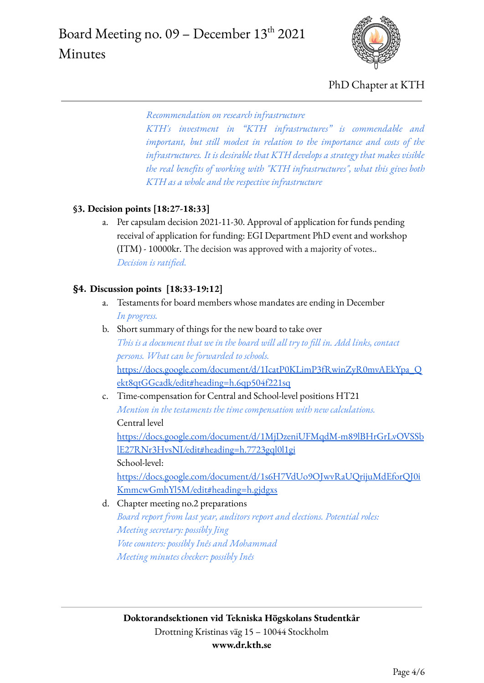

*Recommendation on research infrastructure*

*KTH's investment in "KTH infrastructures" is commendable and important, but still modest in relation to the importance and costs of the infrastructures. It is desirable that KTH develops a strategy that makes visible the real benefits of working with "KTH infrastructures", what this gives both KTH as a whole and the respective infrastructure*

#### **§3. Decision points [18:27-18:33]**

a. Per capsulam decision 2021-11-30. Approval of application for funds pending receival of application for funding: EGI Department PhD event and workshop (ITM) - 10000kr. The decision was approved with a majority of votes.. *Decision is ratified.*

#### **§4. Discussion points [18:33-19:12]**

- a. Testaments for board members whose mandates are ending in December *In progress.*
- b. Short summary of things for the new board to take over *This is a document that we in the board will all try to fill in. Add links, contact persons. What can be forwarded to schools.* [https://docs.google.com/document/d/1IcatP0KLimP3fRwinZyR0mvAEkYpa\\_Q](https://docs.google.com/document/d/1IcatP0KLimP3fRwinZyR0mvAEkYpa_Qekt8qtGGcadk/edit#heading=h.6qp504f221sq) [ekt8qtGGcadk/edit#heading=h.6qp504f221sq](https://docs.google.com/document/d/1IcatP0KLimP3fRwinZyR0mvAEkYpa_Qekt8qtGGcadk/edit#heading=h.6qp504f221sq)
- c. Time-compensation for Central and School-level positions HT21 *Mention in the testaments the time compensation with new calculations.* Central level [https://docs.google.com/document/d/1MjDzeniUFMqdM-m89lBHrGrLvOVSSb](https://docs.google.com/document/d/1MjDzeniUFMqdM-m89lBHrGrLvOVSSblE27RNr3HvsNI/edit#heading=h.7723gql0l1gi)

[lE27RNr3HvsNI/edit#heading=h.7723gql0l1gi](https://docs.google.com/document/d/1MjDzeniUFMqdM-m89lBHrGrLvOVSSblE27RNr3HvsNI/edit#heading=h.7723gql0l1gi)

School-level:

[https://docs.google.com/document/d/1s6H7VdUo9OJwvRaUQrijuMdEforQJ0i](https://docs.google.com/document/d/1s6H7VdUo9OJwvRaUQrijuMdEforQJ0iKmmcwGmhYl5M/edit#heading=h.gjdgxs) [KmmcwGmhYl5M/edit#heading=h.gjdgxs](https://docs.google.com/document/d/1s6H7VdUo9OJwvRaUQrijuMdEforQJ0iKmmcwGmhYl5M/edit#heading=h.gjdgxs)

d. Chapter meeting no.2 preparations *Board report from last year, auditors report and elections. Potential roles: Meeting secretary: possibly Jing Vote counters: possibly Inês and Mohammad Meeting minutes checker: possibly Inês*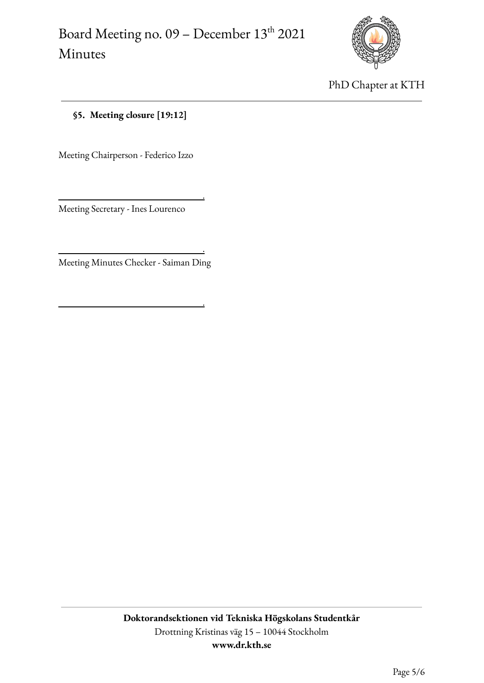.

.

.



PhD Chapter at KTH

**§5. Meeting closure [19:12]**

Meeting Chairperson - Federico Izzo

Meeting Secretary - Ines Lourenco

Meeting Minutes Checker - Saiman Ding